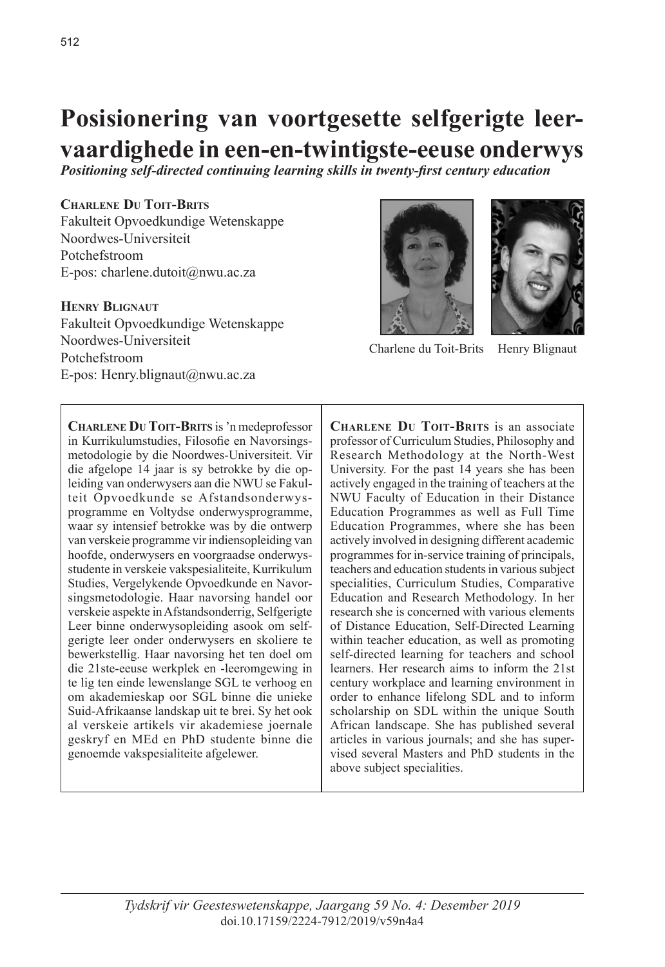# **Posisionering van voortgesette selfgerigte leervaardighede in een-en-twintigste-eeuse onderwys**

*Positioning self-directed continuing learning skills in twenty-first century education*

#### **Charlene Du Toit-Brits**

Fakulteit Opvoedkundige Wetenskappe Noordwes-Universiteit Potchefstroom E-pos: charlene.dutoit@nwu.ac.za

## **Henry Blignaut**

Fakulteit Opvoedkundige Wetenskappe Noordwes-Universiteit Potchefstroom E-pos: Henry.blignaut@nwu.ac.za

**Charlene Du Toit-Brits** is 'n medeprofessor in Kurrikulumstudies, Filosofie en Navorsingsmetodologie by die Noordwes-Universiteit. Vir die afgelope 14 jaar is sy betrokke by die opleiding van onderwysers aan die NWU se Fakulteit Opvoedkunde se Afstandsonderwysprogramme en Voltydse onderwysprogramme, waar sy intensief betrokke was by die ontwerp van verskeie programme vir indiensopleiding van hoofde, onderwysers en voorgraadse onderwysstudente in verskeie vakspesialiteite, Kurrikulum Studies, Vergelykende Opvoedkunde en Navorsingsmetodologie. Haar navorsing handel oor verskeie aspekte in Afstandsonderrig, Selfgerigte Leer binne onderwysopleiding asook om selfgerigte leer onder onderwysers en skoliere te bewerkstellig. Haar navorsing het ten doel om die 21ste-eeuse werkplek en -leeromgewing in te lig ten einde lewenslange SGL te verhoog en om akademieskap oor SGL binne die unieke Suid-Afrikaanse landskap uit te brei. Sy het ook al verskeie artikels vir akademiese joernale geskryf en MEd en PhD studente binne die genoemde vakspesialiteite afgelewer.



Charlene du Toit-Brits Henry Blignaut

**Charlene Du Toit-Brits** is an associate professor of Curriculum Studies, Philosophy and Research Methodology at the North-West University. For the past 14 years she has been actively engaged in the training of teachers at the NWU Faculty of Education in their Distance Education Programmes as well as Full Time Education Programmes, where she has been actively involved in designing different academic programmes for in-service training of principals, teachers and education students in various subject specialities, Curriculum Studies, Comparative Education and Research Methodology. In her research she is concerned with various elements of Distance Education, Self-Directed Learning within teacher education, as well as promoting self-directed learning for teachers and school learners. Her research aims to inform the 21st century workplace and learning environment in order to enhance lifelong SDL and to inform scholarship on SDL within the unique South African landscape. She has published several articles in various journals; and she has supervised several Masters and PhD students in the above subject specialities.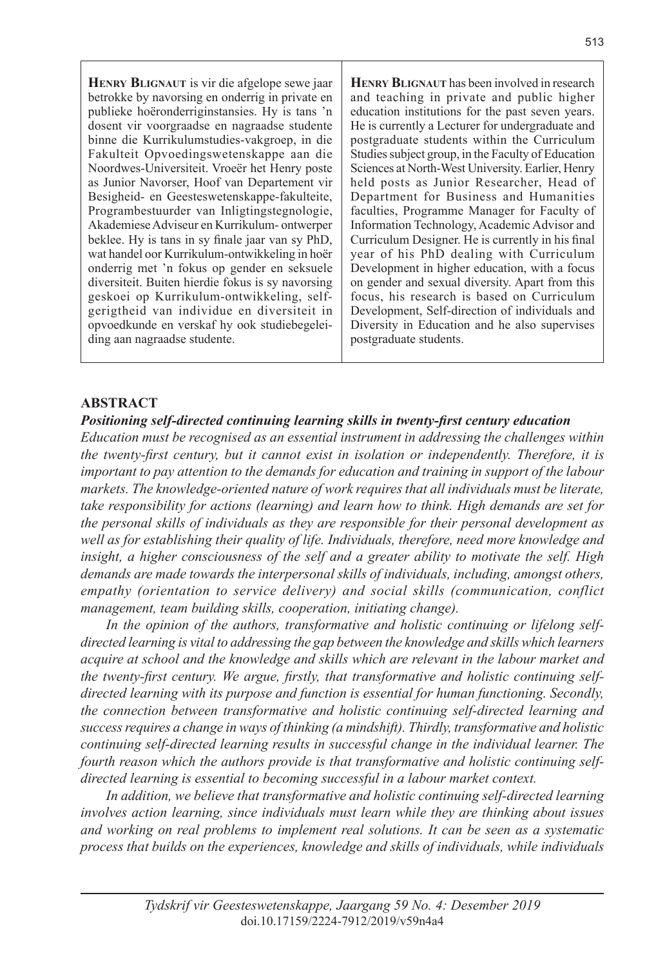**Henry Blignaut** is vir die afgelope sewe jaar betrokke by navorsing en onderrig in private en publieke hoëronderriginstansies. Hy is tans 'n dosent vir voorgraadse en nagraadse studente binne die Kurrikulumstudies-vakgroep, in die Fakulteit Opvoedingswetenskappe aan die Noordwes-Universiteit. Vroeër het Henry poste as Junior Navorser, Hoof van Departement vir Besigheid- en Geesteswetenskappe-fakulteite, Programbestuurder van Inligtingstegnologie, Akademiese Adviseur en Kurrikulum- ontwerper beklee. Hy is tans in sy finale jaar van sy PhD, wat handel oor Kurrikulum-ontwikkeling in hoër onderrig met 'n fokus op gender en seksuele diversiteit. Buiten hierdie fokus is sy navorsing geskoei op Kurrikulum-ontwikkeling, selfgerigtheid van individue en diversiteit in opvoedkunde en verskaf hy ook studiebegeleiding aan nagraadse studente.

**HENRY BLIGNAUT** has been involved in research and teaching in private and public higher education institutions for the past seven years. He is currently a Lecturer for undergraduate and postgraduate students within the Curriculum Studies subject group, in the Faculty of Education Sciences at North-West University. Earlier, Henry held posts as Junior Researcher, Head of Department for Business and Humanities faculties, Programme Manager for Faculty of Information Technology, Academic Advisor and Curriculum Designer. He is currently in his final year of his PhD dealing with Curriculum Development in higher education, with a focus on gender and sexual diversity. Apart from this focus, his research is based on Curriculum Development, Self-direction of individuals and Diversity in Education and he also supervises postgraduate students.

#### **ABSTRACT**

#### *Positioning self-directed continuing learning skills in twenty-first century education*

*Education must be recognised as an essential instrument in addressing the challenges within the twenty-first century, but it cannot exist in isolation or independently. Therefore, it is important to pay attention to the demands for education and training in support of the labour markets. The knowledge-oriented nature of work requires that all individuals must be literate, take responsibility for actions (learning) and learn how to think. High demands are set for the personal skills of individuals as they are responsible for their personal development as well as for establishing their quality of life. Individuals, therefore, need more knowledge and insight, a higher consciousness of the self and a greater ability to motivate the self. High demands are made towards the interpersonal skills of individuals, including, amongst others, empathy (orientation to service delivery) and social skills (communication, conflict management, team building skills, cooperation, initiating change).*

*In the opinion of the authors, transformative and holistic continuing or lifelong selfdirected learning is vital to addressing the gap between the knowledge and skills which learners acquire at school and the knowledge and skills which are relevant in the labour market and the twenty-first century. We argue, firstly, that transformative and holistic continuing selfdirected learning with its purpose and function is essential for human functioning. Secondly, the connection between transformative and holistic continuing self-directed learning and success requires a change in ways of thinking (a mindshift). Thirdly, transformative and holistic continuing self-directed learning results in successful change in the individual learner. The fourth reason which the authors provide is that transformative and holistic continuing selfdirected learning is essential to becoming successful in a labour market context.*

*In addition, we believe that transformative and holistic continuing self-directed learning involves action learning, since individuals must learn while they are thinking about issues and working on real problems to implement real solutions. It can be seen as a systematic process that builds on the experiences, knowledge and skills of individuals, while individuals*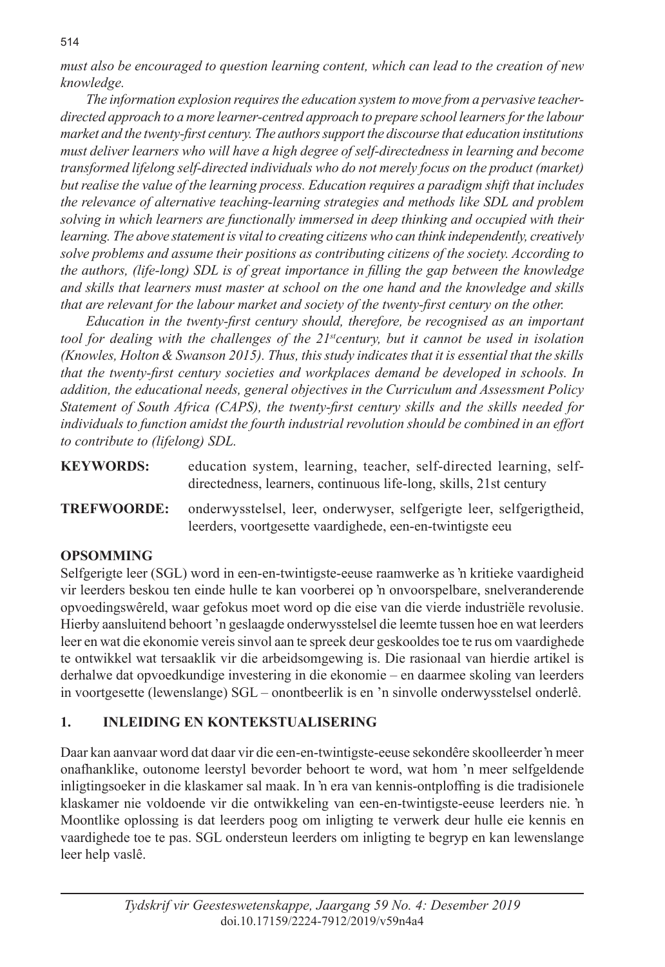*must also be encouraged to question learning content, which can lead to the creation of new knowledge.*

*The information explosion requires the education system to move from a pervasive teacherdirected approach to a more learner-centred approach to prepare school learners for the labour market and the twenty-first century. The authors support the discourse that education institutions must deliver learners who will have a high degree of self-directedness in learning and become transformed lifelong self-directed individuals who do not merely focus on the product (market) but realise the value of the learning process. Education requires a paradigm shift that includes the relevance of alternative teaching-learning strategies and methods like SDL and problem solving in which learners are functionally immersed in deep thinking and occupied with their learning. The above statement is vital to creating citizens who can think independently, creatively solve problems and assume their positions as contributing citizens of the society. According to the authors, (life-long) SDL is of great importance in filling the gap between the knowledge and skills that learners must master at school on the one hand and the knowledge and skills that are relevant for the labour market and society of the twenty-first century on the other.* 

*Education in the twenty-first century should, therefore, be recognised as an important tool for dealing with the challenges of the 21stcentury, but it cannot be used in isolation (Knowles, Holton & Swanson 2015). Thus, this study indicates that it is essential that the skills that the twenty-first century societies and workplaces demand be developed in schools. In addition, the educational needs, general objectives in the Curriculum and Assessment Policy Statement of South Africa (CAPS), the twenty-first century skills and the skills needed for individuals to function amidst the fourth industrial revolution should be combined in an effort to contribute to (lifelong) SDL.* 

**KEYWORDS:** education system, learning, teacher, self-directed learning, selfdirectedness, learners, continuous life-long, skills, 21st century

**TREFWOORDE:** onderwysstelsel, leer, onderwyser, selfgerigte leer, selfgerigtheid, leerders, voortgesette vaardighede, een-en-twintigste eeu

## **OPSOMMING**

Selfgerigte leer (SGL) word in een-en-twintigste-eeuse raamwerke as 'n kritieke vaardigheid vir leerders beskou ten einde hulle te kan voorberei op 'n onvoorspelbare, snelveranderende opvoedingswêreld, waar gefokus moet word op die eise van die vierde industriële revolusie. Hierby aansluitend behoort 'n geslaagde onderwysstelsel die leemte tussen hoe en wat leerders leer en wat die ekonomie vereis sinvol aan te spreek deur geskooldes toe te rus om vaardighede te ontwikkel wat tersaaklik vir die arbeidsomgewing is. Die rasionaal van hierdie artikel is derhalwe dat opvoedkundige investering in die ekonomie – en daarmee skoling van leerders in voortgesette (lewenslange) SGL – onontbeerlik is en 'n sinvolle onderwysstelsel onderlê.

# **1. INLEIDING EN KONTEKSTUALISERING**

Daar kan aanvaar word dat daar vir die een-en-twintigste-eeuse sekondêre skoolleerder 'n meer onafhanklike, outonome leerstyl bevorder behoort te word, wat hom 'n meer selfgeldende inligtingsoeker in die klaskamer sal maak. In 'n era van kennis-ontploffing is die tradisionele klaskamer nie voldoende vir die ontwikkeling van een-en-twintigste-eeuse leerders nie. 'n Moontlike oplossing is dat leerders poog om inligting te verwerk deur hulle eie kennis en vaardighede toe te pas. SGL ondersteun leerders om inligting te begryp en kan lewenslange leer help vaslê.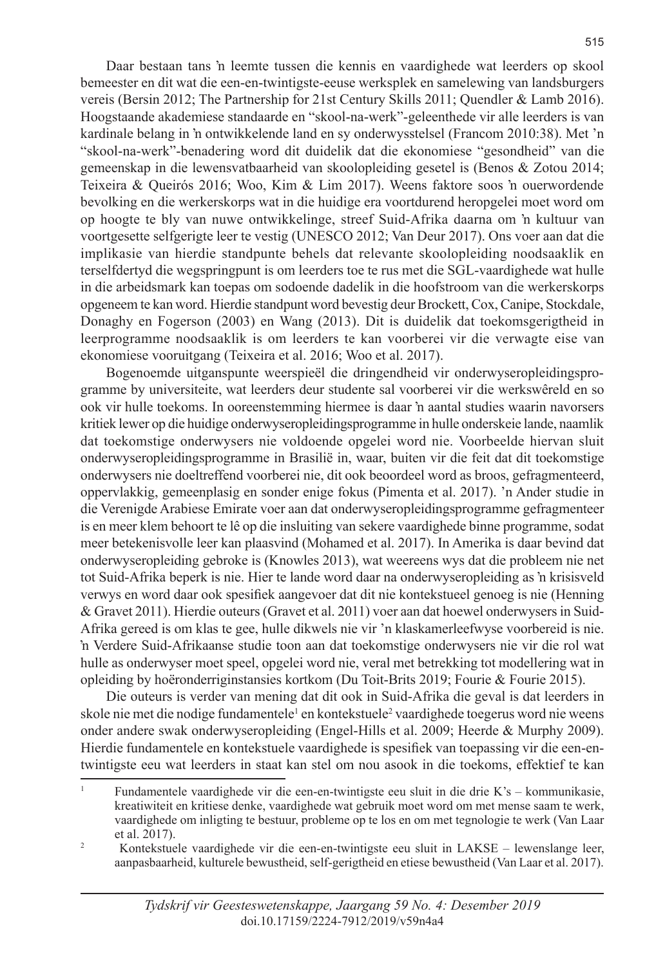Daar bestaan tans 'n leemte tussen die kennis en vaardighede wat leerders op skool bemeester en dit wat die een-en-twintigste-eeuse werksplek en samelewing van landsburgers vereis (Bersin 2012; The Partnership for 21st Century Skills 2011; Quendler & Lamb 2016). Hoogstaande akademiese standaarde en "skool-na-werk"-geleenthede vir alle leerders is van kardinale belang in 'n ontwikkelende land en sy onderwysstelsel (Francom 2010:38). Met 'n "skool-na-werk"-benadering word dit duidelik dat die ekonomiese "gesondheid" van die gemeenskap in die lewensvatbaarheid van skoolopleiding gesetel is (Benos & Zotou 2014; Teixeira & Queirós 2016; Woo, Kim & Lim 2017). Weens faktore soos 'n ouerwordende bevolking en die werkerskorps wat in die huidige era voortdurend heropgelei moet word om op hoogte te bly van nuwe ontwikkelinge, streef Suid-Afrika daarna om 'n kultuur van voortgesette selfgerigte leer te vestig (UNESCO 2012; Van Deur 2017). Ons voer aan dat die implikasie van hierdie standpunte behels dat relevante skoolopleiding noodsaaklik en terselfdertyd die wegspringpunt is om leerders toe te rus met die SGL-vaardighede wat hulle in die arbeidsmark kan toepas om sodoende dadelik in die hoofstroom van die werkerskorps opgeneem te kan word. Hierdie standpunt word bevestig deur Brockett, Cox, Canipe, Stockdale, Donaghy en Fogerson (2003) en Wang (2013). Dit is duidelik dat toekomsgerigtheid in leerprogramme noodsaaklik is om leerders te kan voorberei vir die verwagte eise van ekonomiese vooruitgang (Teixeira et al. 2016; Woo et al. 2017).

Bogenoemde uitganspunte weerspieël die dringendheid vir onderwyseropleidingsprogramme by universiteite, wat leerders deur studente sal voorberei vir die werkswêreld en so ook vir hulle toekoms. In ooreenstemming hiermee is daar 'n aantal studies waarin navorsers kritiek lewer op die huidige onderwyseropleidingsprogramme in hulle onderskeie lande, naamlik dat toekomstige onderwysers nie voldoende opgelei word nie. Voorbeelde hiervan sluit onderwyseropleidingsprogramme in Brasilië in, waar, buiten vir die feit dat dit toekomstige onderwysers nie doeltreffend voorberei nie, dit ook beoordeel word as broos, gefragmenteerd, oppervlakkig, gemeenplasig en sonder enige fokus (Pimenta et al. 2017). 'n Ander studie in die Verenigde Arabiese Emirate voer aan dat onderwyseropleidingsprogramme gefragmenteer is en meer klem behoort te lê op die insluiting van sekere vaardighede binne programme, sodat meer betekenisvolle leer kan plaasvind (Mohamed et al. 2017). In Amerika is daar bevind dat onderwyseropleiding gebroke is (Knowles 2013), wat weereens wys dat die probleem nie net tot Suid-Afrika beperk is nie. Hier te lande word daar na onderwyseropleiding as 'n krisisveld verwys en word daar ook spesifiek aangevoer dat dit nie kontekstueel genoeg is nie (Henning & Gravet 2011). Hierdie outeurs (Gravet et al. 2011) voer aan dat hoewel onderwysers in Suid-Afrika gereed is om klas te gee, hulle dikwels nie vir 'n klaskamerleefwyse voorbereid is nie. 'n Verdere Suid-Afrikaanse studie toon aan dat toekomstige onderwysers nie vir die rol wat hulle as onderwyser moet speel, opgelei word nie, veral met betrekking tot modellering wat in opleiding by hoëronderriginstansies kortkom (Du Toit-Brits 2019; Fourie & Fourie 2015).

Die outeurs is verder van mening dat dit ook in Suid-Afrika die geval is dat leerders in skole nie met die nodige fundamentele<sup>1</sup> en kontekstuele<sup>2</sup> vaardighede toegerus word nie weens onder andere swak onderwyseropleiding (Engel-Hills et al. 2009; Heerde & Murphy 2009). Hierdie fundamentele en kontekstuele vaardighede is spesifiek van toepassing vir die een-entwintigste eeu wat leerders in staat kan stel om nou asook in die toekoms, effektief te kan

<sup>1</sup> Fundamentele vaardighede vir die een-en-twintigste eeu sluit in die drie K's – kommunikasie, kreatiwiteit en kritiese denke, vaardighede wat gebruik moet word om met mense saam te werk, vaardighede om inligting te bestuur, probleme op te los en om met tegnologie te werk (Van Laar et al. 2017).

<sup>&</sup>lt;sup>2</sup> Kontekstuele vaardighede vir die een-en-twintigste eeu sluit in LAKSE – lewenslange leer, aanpasbaarheid, kulturele bewustheid, self-gerigtheid en etiese bewustheid (Van Laar et al. 2017).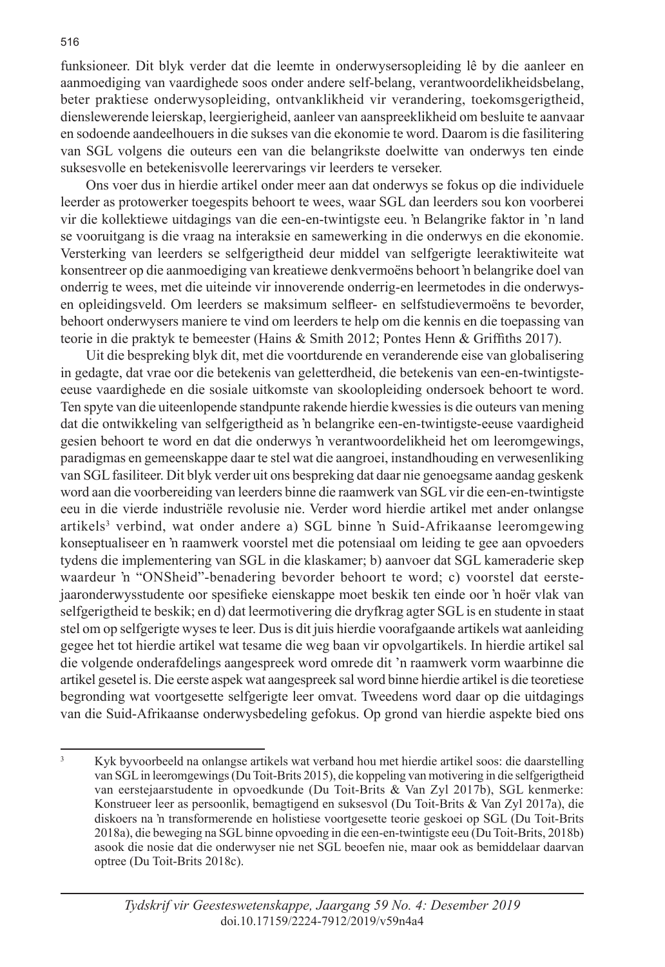funksioneer. Dit blyk verder dat die leemte in onderwysersopleiding lê by die aanleer en aanmoediging van vaardighede soos onder andere self-belang, verantwoordelikheidsbelang, beter praktiese onderwysopleiding, ontvanklikheid vir verandering, toekomsgerigtheid, dienslewerende leierskap, leergierigheid, aanleer van aanspreeklikheid om besluite te aanvaar en sodoende aandeelhouers in die sukses van die ekonomie te word. Daarom is die fasilitering van SGL volgens die outeurs een van die belangrikste doelwitte van onderwys ten einde suksesvolle en betekenisvolle leerervarings vir leerders te verseker.

Ons voer dus in hierdie artikel onder meer aan dat onderwys se fokus op die individuele leerder as protowerker toegespits behoort te wees, waar SGL dan leerders sou kon voorberei vir die kollektiewe uitdagings van die een-en-twintigste eeu. 'n Belangrike faktor in 'n land se vooruitgang is die vraag na interaksie en samewerking in die onderwys en die ekonomie. Versterking van leerders se selfgerigtheid deur middel van selfgerigte leeraktiwiteite wat konsentreer op die aanmoediging van kreatiewe denkvermoëns behoort 'n belangrike doel van onderrig te wees, met die uiteinde vir innoverende onderrig-en leermetodes in die onderwysen opleidingsveld. Om leerders se maksimum selfleer- en selfstudievermoëns te bevorder, behoort onderwysers maniere te vind om leerders te help om die kennis en die toepassing van teorie in die praktyk te bemeester (Hains & Smith 2012; Pontes Henn & Griffiths 2017).

Uit die bespreking blyk dit, met die voortdurende en veranderende eise van globalisering in gedagte, dat vrae oor die betekenis van geletterdheid, die betekenis van een-en-twintigsteeeuse vaardighede en die sosiale uitkomste van skoolopleiding ondersoek behoort te word. Ten spyte van die uiteenlopende standpunte rakende hierdie kwessies is die outeurs van mening dat die ontwikkeling van selfgerigtheid as 'n belangrike een-en-twintigste-eeuse vaardigheid gesien behoort te word en dat die onderwys 'n verantwoordelikheid het om leeromgewings, paradigmas en gemeenskappe daar te stel wat die aangroei, instandhouding en verwesenliking van SGL fasiliteer. Dit blyk verder uit ons bespreking dat daar nie genoegsame aandag geskenk word aan die voorbereiding van leerders binne die raamwerk van SGL vir die een-en-twintigste eeu in die vierde industriële revolusie nie. Verder word hierdie artikel met ander onlangse artikels<sup>3</sup> verbind, wat onder andere a) SGL binne 'n Suid-Afrikaanse leeromgewing konseptualiseer en 'n raamwerk voorstel met die potensiaal om leiding te gee aan opvoeders tydens die implementering van SGL in die klaskamer; b) aanvoer dat SGL kameraderie skep waardeur 'n "ONSheid"-benadering bevorder behoort te word; c) voorstel dat eerstejaaronderwysstudente oor spesifieke eienskappe moet beskik ten einde oor 'n hoër vlak van selfgerigtheid te beskik; en d) dat leermotivering die dryfkrag agter SGL is en studente in staat stel om op selfgerigte wyses te leer. Dus is dit juis hierdie voorafgaande artikels wat aanleiding gegee het tot hierdie artikel wat tesame die weg baan vir opvolgartikels. In hierdie artikel sal die volgende onderafdelings aangespreek word omrede dit 'n raamwerk vorm waarbinne die artikel gesetel is. Die eerste aspek wat aangespreek sal word binne hierdie artikel is die teoretiese begronding wat voortgesette selfgerigte leer omvat. Tweedens word daar op die uitdagings van die Suid-Afrikaanse onderwysbedeling gefokus. Op grond van hierdie aspekte bied ons

<sup>3</sup> Kyk byvoorbeeld na onlangse artikels wat verband hou met hierdie artikel soos: die daarstelling van SGL in leeromgewings (Du Toit-Brits 2015), die koppeling van motivering in die selfgerigtheid van eerstejaarstudente in opvoedkunde (Du Toit-Brits & Van Zyl 2017b), SGL kenmerke: Konstrueer leer as persoonlik, bemagtigend en suksesvol (Du Toit-Brits & Van Zyl 2017a), die diskoers na 'n transformerende en holistiese voortgesette teorie geskoei op SGL (Du Toit-Brits 2018a), die beweging na SGL binne opvoeding in die een-en-twintigste eeu (Du Toit-Brits, 2018b) asook die nosie dat die onderwyser nie net SGL beoefen nie, maar ook as bemiddelaar daarvan optree (Du Toit-Brits 2018c).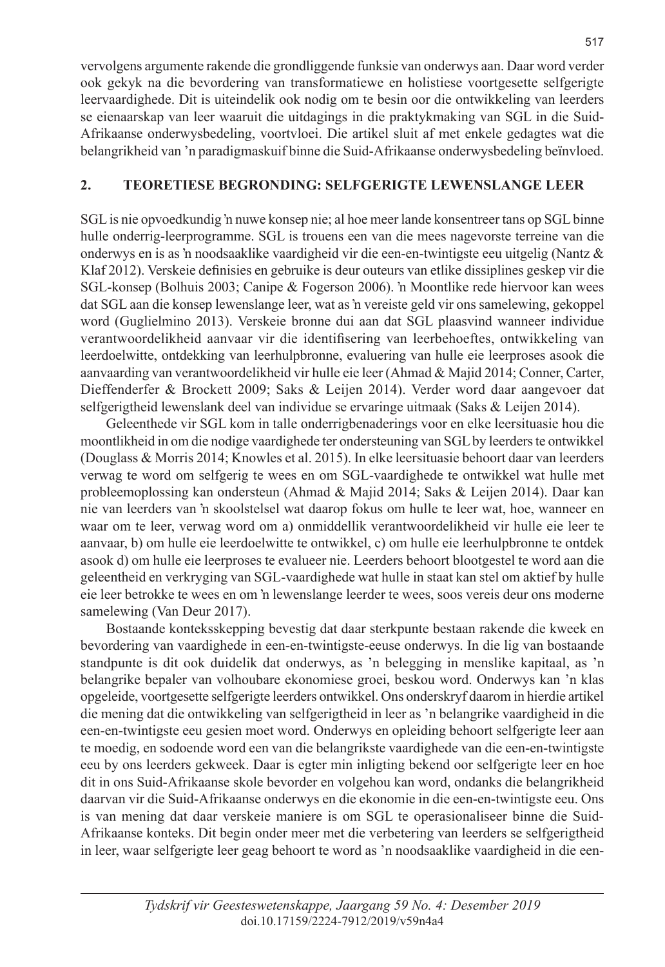vervolgens argumente rakende die grondliggende funksie van onderwys aan. Daar word verder ook gekyk na die bevordering van transformatiewe en holistiese voortgesette selfgerigte leervaardighede. Dit is uiteindelik ook nodig om te besin oor die ontwikkeling van leerders se eienaarskap van leer waaruit die uitdagings in die praktykmaking van SGL in die Suid-Afrikaanse onderwysbedeling, voortvloei. Die artikel sluit af met enkele gedagtes wat die belangrikheid van 'n paradigmaskuif binne die Suid-Afrikaanse onderwysbedeling beïnvloed.

### **2. TEORETIESE BEGRONDING: SELFGERIGTE LEWENSLANGE LEER**

SGL is nie opvoedkundig 'n nuwe konsep nie; al hoe meer lande konsentreer tans op SGL binne hulle onderrig-leerprogramme. SGL is trouens een van die mees nagevorste terreine van die onderwys en is as 'n noodsaaklike vaardigheid vir die een-en-twintigste eeu uitgelig (Nantz & Klaf 2012). Verskeie definisies en gebruike is deur outeurs van etlike dissiplines geskep vir die SGL-konsep (Bolhuis 2003; Canipe & Fogerson 2006). 'n Moontlike rede hiervoor kan wees dat SGL aan die konsep lewenslange leer, wat as 'n vereiste geld vir ons samelewing, gekoppel word (Guglielmino 2013). Verskeie bronne dui aan dat SGL plaasvind wanneer individue verantwoordelikheid aanvaar vir die identifisering van leerbehoeftes, ontwikkeling van leerdoelwitte, ontdekking van leerhulpbronne, evaluering van hulle eie leerproses asook die aanvaarding van verantwoordelikheid vir hulle eie leer (Ahmad & Majid 2014; Conner, Carter, Dieffenderfer & Brockett 2009; Saks & Leijen 2014). Verder word daar aangevoer dat selfgerigtheid lewenslank deel van individue se ervaringe uitmaak (Saks & Leijen 2014).

Geleenthede vir SGL kom in talle onderrigbenaderings voor en elke leersituasie hou die moontlikheid in om die nodige vaardighede ter ondersteuning van SGL by leerders te ontwikkel (Douglass & Morris 2014; Knowles et al. 2015). In elke leersituasie behoort daar van leerders verwag te word om selfgerig te wees en om SGL-vaardighede te ontwikkel wat hulle met probleemoplossing kan ondersteun (Ahmad & Majid 2014; Saks & Leijen 2014). Daar kan nie van leerders van 'n skoolstelsel wat daarop fokus om hulle te leer wat, hoe, wanneer en waar om te leer, verwag word om a) onmiddellik verantwoordelikheid vir hulle eie leer te aanvaar, b) om hulle eie leerdoelwitte te ontwikkel, c) om hulle eie leerhulpbronne te ontdek asook d) om hulle eie leerproses te evalueer nie. Leerders behoort blootgestel te word aan die geleentheid en verkryging van SGL-vaardighede wat hulle in staat kan stel om aktief by hulle eie leer betrokke te wees en om 'n lewenslange leerder te wees, soos vereis deur ons moderne samelewing (Van Deur 2017).

Bostaande konteksskepping bevestig dat daar sterkpunte bestaan rakende die kweek en bevordering van vaardighede in een-en-twintigste-eeuse onderwys. In die lig van bostaande standpunte is dit ook duidelik dat onderwys, as 'n belegging in menslike kapitaal, as 'n belangrike bepaler van volhoubare ekonomiese groei, beskou word. Onderwys kan 'n klas opgeleide, voortgesette selfgerigte leerders ontwikkel. Ons onderskryf daarom in hierdie artikel die mening dat die ontwikkeling van selfgerigtheid in leer as 'n belangrike vaardigheid in die een-en-twintigste eeu gesien moet word. Onderwys en opleiding behoort selfgerigte leer aan te moedig, en sodoende word een van die belangrikste vaardighede van die een-en-twintigste eeu by ons leerders gekweek. Daar is egter min inligting bekend oor selfgerigte leer en hoe dit in ons Suid-Afrikaanse skole bevorder en volgehou kan word, ondanks die belangrikheid daarvan vir die Suid-Afrikaanse onderwys en die ekonomie in die een-en-twintigste eeu. Ons is van mening dat daar verskeie maniere is om SGL te operasionaliseer binne die Suid-Afrikaanse konteks. Dit begin onder meer met die verbetering van leerders se selfgerigtheid in leer, waar selfgerigte leer geag behoort te word as 'n noodsaaklike vaardigheid in die een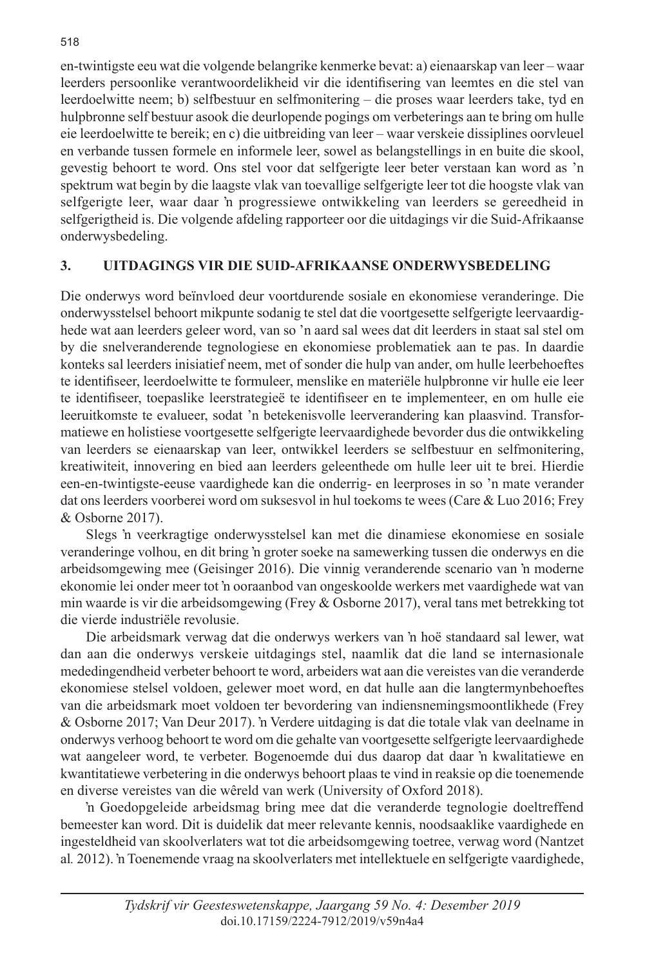en-twintigste eeu wat die volgende belangrike kenmerke bevat: a) eienaarskap van leer – waar leerders persoonlike verantwoordelikheid vir die identifisering van leemtes en die stel van leerdoelwitte neem; b) selfbestuur en selfmonitering – die proses waar leerders take, tyd en hulpbronne self bestuur asook die deurlopende pogings om verbeterings aan te bring om hulle eie leerdoelwitte te bereik; en c) die uitbreiding van leer – waar verskeie dissiplines oorvleuel en verbande tussen formele en informele leer, sowel as belangstellings in en buite die skool, gevestig behoort te word. Ons stel voor dat selfgerigte leer beter verstaan kan word as 'n spektrum wat begin by die laagste vlak van toevallige selfgerigte leer tot die hoogste vlak van selfgerigte leer, waar daar 'n progressiewe ontwikkeling van leerders se gereedheid in selfgerigtheid is. Die volgende afdeling rapporteer oor die uitdagings vir die Suid-Afrikaanse onderwysbedeling.

#### **3. UITDAGINGS VIR DIE SUID-AFRIKAANSE ONDERWYSBEDELING**

Die onderwys word beïnvloed deur voortdurende sosiale en ekonomiese veranderinge. Die onderwysstelsel behoort mikpunte sodanig te stel dat die voortgesette selfgerigte leervaardighede wat aan leerders geleer word, van so 'n aard sal wees dat dit leerders in staat sal stel om by die snelveranderende tegnologiese en ekonomiese problematiek aan te pas. In daardie konteks sal leerders inisiatief neem, met of sonder die hulp van ander, om hulle leerbehoeftes te identifiseer, leerdoelwitte te formuleer, menslike en materiële hulpbronne vir hulle eie leer te identifiseer, toepaslike leerstrategieë te identifiseer en te implementeer, en om hulle eie leeruitkomste te evalueer, sodat 'n betekenisvolle leerverandering kan plaasvind. Transformatiewe en holistiese voortgesette selfgerigte leervaardighede bevorder dus die ontwikkeling van leerders se eienaarskap van leer, ontwikkel leerders se selfbestuur en selfmonitering, kreatiwiteit, innovering en bied aan leerders geleenthede om hulle leer uit te brei. Hierdie een-en-twintigste-eeuse vaardighede kan die onderrig- en leerproses in so 'n mate verander dat ons leerders voorberei word om suksesvol in hul toekoms te wees (Care & Luo 2016; Frey & Osborne 2017).

Slegs 'n veerkragtige onderwysstelsel kan met die dinamiese ekonomiese en sosiale veranderinge volhou, en dit bring 'n groter soeke na samewerking tussen die onderwys en die arbeidsomgewing mee (Geisinger 2016). Die vinnig veranderende scenario van 'n moderne ekonomie lei onder meer tot 'n ooraanbod van ongeskoolde werkers met vaardighede wat van min waarde is vir die arbeidsomgewing (Frey & Osborne 2017), veral tans met betrekking tot die vierde industriële revolusie.

Die arbeidsmark verwag dat die onderwys werkers van 'n hoë standaard sal lewer, wat dan aan die onderwys verskeie uitdagings stel, naamlik dat die land se internasionale mededingendheid verbeter behoort te word, arbeiders wat aan die vereistes van die veranderde ekonomiese stelsel voldoen, gelewer moet word, en dat hulle aan die langtermynbehoeftes van die arbeidsmark moet voldoen ter bevordering van indiensnemingsmoontlikhede (Frey & Osborne 2017; Van Deur 2017). 'n Verdere uitdaging is dat die totale vlak van deelname in onderwys verhoog behoort te word om die gehalte van voortgesette selfgerigte leervaardighede wat aangeleer word, te verbeter. Bogenoemde dui dus daarop dat daar 'n kwalitatiewe en kwantitatiewe verbetering in die onderwys behoort plaas te vind in reaksie op die toenemende en diverse vereistes van die wêreld van werk (University of Oxford 2018).

'n Goedopgeleide arbeidsmag bring mee dat die veranderde tegnologie doeltreffend bemeester kan word. Dit is duidelik dat meer relevante kennis, noodsaaklike vaardighede en ingesteldheid van skoolverlaters wat tot die arbeidsomgewing toetree, verwag word (Nantzet al*.* 2012). 'n Toenemende vraag na skoolverlaters met intellektuele en selfgerigte vaardighede,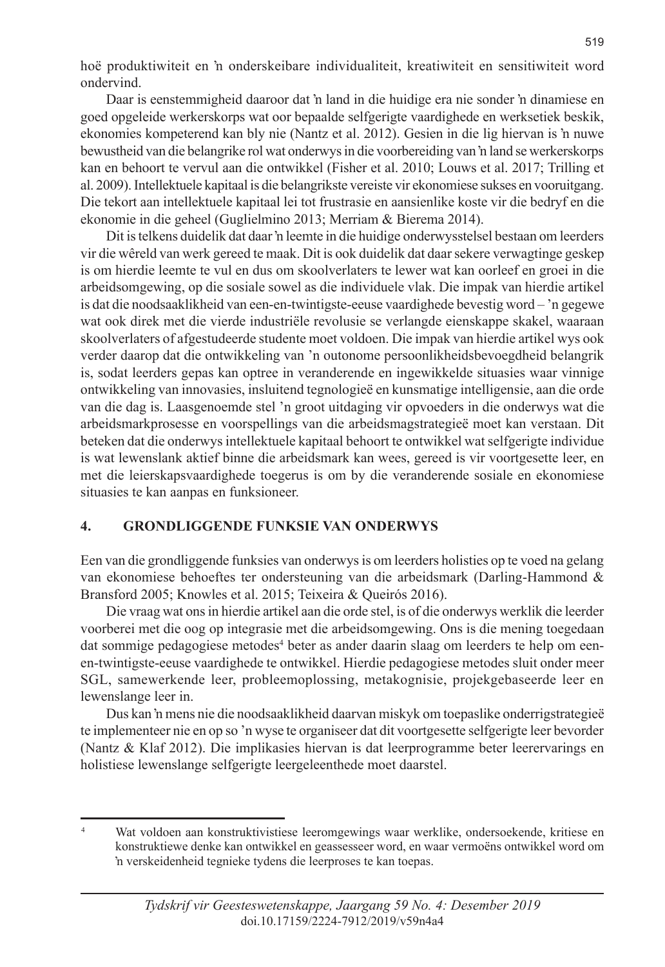hoë produktiwiteit en 'n onderskeibare individualiteit, kreatiwiteit en sensitiwiteit word ondervind.

Daar is eenstemmigheid daaroor dat 'n land in die huidige era nie sonder 'n dinamiese en goed opgeleide werkerskorps wat oor bepaalde selfgerigte vaardighede en werksetiek beskik, ekonomies kompeterend kan bly nie (Nantz et al. 2012). Gesien in die lig hiervan is 'n nuwe bewustheid van die belangrike rol wat onderwys in die voorbereiding van 'n land se werkerskorps kan en behoort te vervul aan die ontwikkel (Fisher et al. 2010; Louws et al. 2017; Trilling et al. 2009). Intellektuele kapitaal is die belangrikste vereiste vir ekonomiese sukses en vooruitgang. Die tekort aan intellektuele kapitaal lei tot frustrasie en aansienlike koste vir die bedryf en die ekonomie in die geheel (Guglielmino 2013; Merriam & Bierema 2014).

Dit is telkens duidelik dat daar 'n leemte in die huidige onderwysstelsel bestaan om leerders vir die wêreld van werk gereed te maak. Dit is ook duidelik dat daar sekere verwagtinge geskep is om hierdie leemte te vul en dus om skoolverlaters te lewer wat kan oorleef en groei in die arbeidsomgewing, op die sosiale sowel as die individuele vlak. Die impak van hierdie artikel is dat die noodsaaklikheid van een-en-twintigste-eeuse vaardighede bevestig word – 'n gegewe wat ook direk met die vierde industriële revolusie se verlangde eienskappe skakel, waaraan skoolverlaters of afgestudeerde studente moet voldoen. Die impak van hierdie artikel wys ook verder daarop dat die ontwikkeling van 'n outonome persoonlikheidsbevoegdheid belangrik is, sodat leerders gepas kan optree in veranderende en ingewikkelde situasies waar vinnige ontwikkeling van innovasies, insluitend tegnologieë en kunsmatige intelligensie, aan die orde van die dag is. Laasgenoemde stel 'n groot uitdaging vir opvoeders in die onderwys wat die arbeidsmarkprosesse en voorspellings van die arbeidsmagstrategieë moet kan verstaan. Dit beteken dat die onderwys intellektuele kapitaal behoort te ontwikkel wat selfgerigte individue is wat lewenslank aktief binne die arbeidsmark kan wees, gereed is vir voortgesette leer, en met die leierskapsvaardighede toegerus is om by die veranderende sosiale en ekonomiese situasies te kan aanpas en funksioneer.

#### **4. GRONDLIGGENDE FUNKSIE VAN ONDERWYS**

Een van die grondliggende funksies van onderwys is om leerders holisties op te voed na gelang van ekonomiese behoeftes ter ondersteuning van die arbeidsmark (Darling-Hammond & Bransford 2005; Knowles et al. 2015; Teixeira & Queirós 2016).

Die vraag wat ons in hierdie artikel aan die orde stel, is of die onderwys werklik die leerder voorberei met die oog op integrasie met die arbeidsomgewing. Ons is die mening toegedaan dat sommige pedagogiese metodes<sup>4</sup> beter as ander daarin slaag om leerders te help om eenen-twintigste-eeuse vaardighede te ontwikkel. Hierdie pedagogiese metodes sluit onder meer SGL, samewerkende leer, probleemoplossing, metakognisie, projekgebaseerde leer en lewenslange leer in.

Dus kan 'n mens nie die noodsaaklikheid daarvan miskyk om toepaslike onderrigstrategieë te implementeer nie en op so 'n wyse te organiseer dat dit voortgesette selfgerigte leer bevorder (Nantz & Klaf 2012). Die implikasies hiervan is dat leerprogramme beter leerervarings en holistiese lewenslange selfgerigte leergeleenthede moet daarstel.

<sup>4</sup> Wat voldoen aan konstruktivistiese leeromgewings waar werklike, ondersoekende, kritiese en konstruktiewe denke kan ontwikkel en geassesseer word, en waar vermoëns ontwikkel word om 'n verskeidenheid tegnieke tydens die leerproses te kan toepas.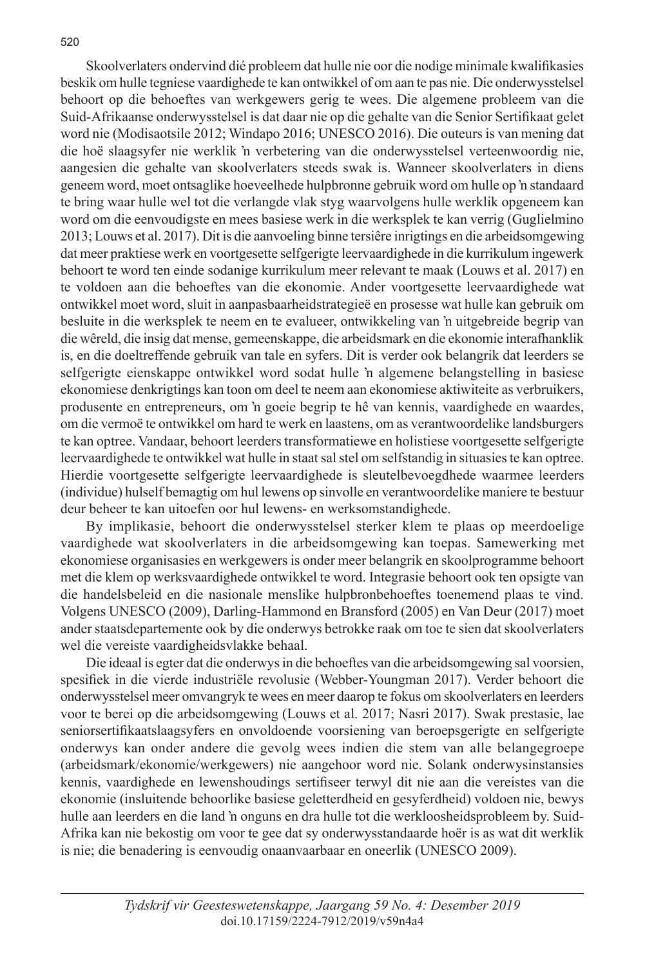Skoolverlaters ondervind dié probleem dat hulle nie oor die nodige minimale kwalifikasies beskik om hulle tegniese vaardighede te kan ontwikkel of om aan te pas nie. Die onderwysstelsel behoort op die behoeftes van werkgewers gerig te wees. Die algemene probleem van die Suid-Afrikaanse onderwysstelsel is dat daar nie op die gehalte van die Senior Sertifikaat gelet word nie (Modisaotsile 2012; Windapo 2016; UNESCO 2016). Die outeurs is van mening dat die hoë slaagsyfer nie werklik 'n verbetering van die onderwysstelsel verteenwoordig nie, aangesien die gehalte van skoolverlaters steeds swak is. Wanneer skoolverlaters in diens geneem word, moet ontsaglike hoeveelhede hulpbronne gebruik word om hulle op 'n standaard te bring waar hulle wel tot die verlangde vlak styg waarvolgens hulle werklik opgeneem kan word om die eenvoudigste en mees basiese werk in die werksplek te kan verrig (Guglielmino 2013; Louws et al. 2017). Dit is die aanvoeling binne tersiêre inrigtings en die arbeidsomgewing dat meer praktiese werk en voortgesette selfgerigte leervaardighede in die kurrikulum ingewerk behoort te word ten einde sodanige kurrikulum meer relevant te maak (Louws et al. 2017) en te voldoen aan die behoeftes van die ekonomie. Ander voortgesette leervaardighede wat ontwikkel moet word, sluit in aanpasbaarheidstrategieë en prosesse wat hulle kan gebruik om besluite in die werksplek te neem en te evalueer, ontwikkeling van 'n uitgebreide begrip van die wêreld, die insig dat mense, gemeenskappe, die arbeidsmark en die ekonomie interafhanklik is, en die doeltreffende gebruik van tale en syfers. Dit is verder ook belangrik dat leerders se selfgerigte eienskappe ontwikkel word sodat hulle 'n algemene belangstelling in basiese ekonomiese denkrigtings kan toon om deel te neem aan ekonomiese aktiwiteite as verbruikers, produsente en entrepreneurs, om 'n goeie begrip te hê van kennis, vaardighede en waardes, om die vermoë te ontwikkel om hard te werk en laastens, om as verantwoordelike landsburgers te kan optree. Vandaar, behoort leerders transformatiewe en holistiese voortgesette selfgerigte leervaardighede te ontwikkel wat hulle in staat sal stel om selfstandig in situasies te kan optree. Hierdie voortgesette selfgerigte leervaardighede is sleutelbevoegdhede waarmee leerders (individue) hulself bemagtig om hul lewens op sinvolle en verantwoordelike maniere te bestuur deur beheer te kan uitoefen oor hul lewens- en werksomstandighede.

By implikasie, behoort die onderwysstelsel sterker klem te plaas op meerdoelige vaardighede wat skoolverlaters in die arbeidsomgewing kan toepas. Samewerking met ekonomiese organisasies en werkgewers is onder meer belangrik en skoolprogramme behoort met die klem op werksvaardighede ontwikkel te word. Integrasie behoort ook ten opsigte van die handelsbeleid en die nasionale menslike hulpbronbehoeftes toenemend plaas te vind. Volgens UNESCO (2009), Darling-Hammond en Bransford (2005) en Van Deur (2017) moet ander staatsdepartemente ook by die onderwys betrokke raak om toe te sien dat skoolverlaters wel die vereiste vaardigheidsvlakke behaal.

Die ideaal is egter dat die onderwys in die behoeftes van die arbeidsomgewing sal voorsien, spesifiek in die vierde industriële revolusie (Webber-Youngman 2017). Verder behoort die onderwysstelsel meer omvangryk te wees en meer daarop te fokus om skoolverlaters en leerders voor te berei op die arbeidsomgewing (Louws et al. 2017; Nasri 2017). Swak prestasie, lae seniorsertifikaatslaagsyfers en onvoldoende voorsiening van beroepsgerigte en selfgerigte onderwys kan onder andere die gevolg wees indien die stem van alle belangegroepe (arbeidsmark/ekonomie/werkgewers) nie aangehoor word nie. Solank onderwysinstansies kennis, vaardighede en lewenshoudings sertifiseer terwyl dit nie aan die vereistes van die ekonomie (insluitende behoorlike basiese geletterdheid en gesyferdheid) voldoen nie, bewys hulle aan leerders en die land 'n onguns en dra hulle tot die werkloosheidsprobleem by. Suid-Afrika kan nie bekostig om voor te gee dat sy onderwysstandaarde hoër is as wat dit werklik is nie; die benadering is eenvoudig onaanvaarbaar en oneerlik (UNESCO 2009).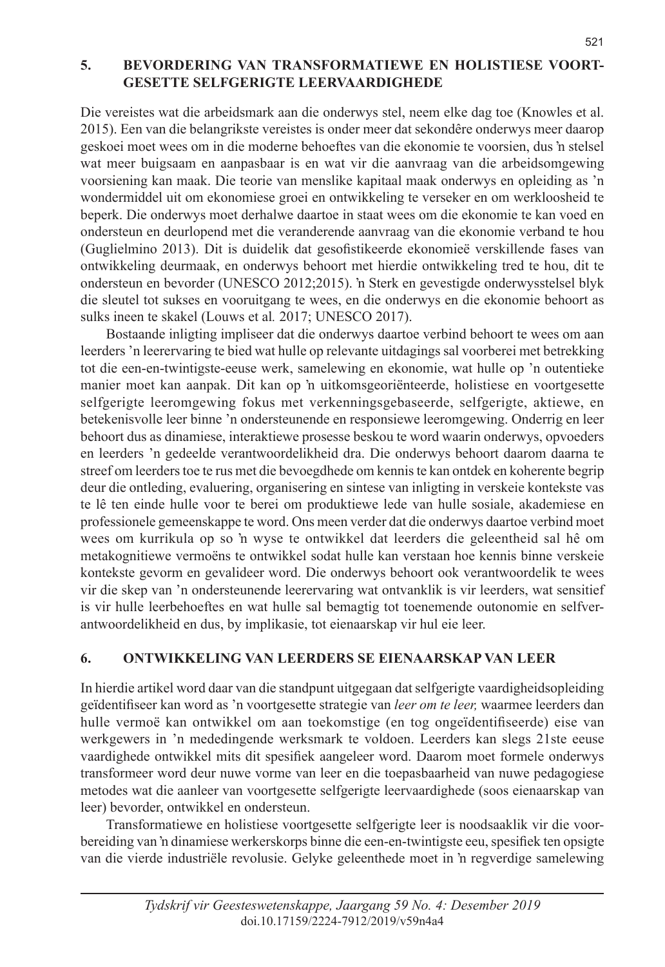#### **5. BEVORDERING VAN TRANSFORMATIEWE EN HOLISTIESE VOORT-GESETTE SELFGERIGTE LEERVAARDIGHEDE**

Die vereistes wat die arbeidsmark aan die onderwys stel, neem elke dag toe (Knowles et al. 2015). Een van die belangrikste vereistes is onder meer dat sekondêre onderwys meer daarop geskoei moet wees om in die moderne behoeftes van die ekonomie te voorsien, dus 'n stelsel wat meer buigsaam en aanpasbaar is en wat vir die aanvraag van die arbeidsomgewing voorsiening kan maak. Die teorie van menslike kapitaal maak onderwys en opleiding as 'n wondermiddel uit om ekonomiese groei en ontwikkeling te verseker en om werkloosheid te beperk. Die onderwys moet derhalwe daartoe in staat wees om die ekonomie te kan voed en ondersteun en deurlopend met die veranderende aanvraag van die ekonomie verband te hou (Guglielmino 2013). Dit is duidelik dat gesofistikeerde ekonomieë verskillende fases van ontwikkeling deurmaak, en onderwys behoort met hierdie ontwikkeling tred te hou, dit te ondersteun en bevorder (UNESCO 2012;2015). 'n Sterk en gevestigde onderwysstelsel blyk die sleutel tot sukses en vooruitgang te wees, en die onderwys en die ekonomie behoort as sulks ineen te skakel (Louws et al*.* 2017; UNESCO 2017).

Bostaande inligting impliseer dat die onderwys daartoe verbind behoort te wees om aan leerders 'n leerervaring te bied wat hulle op relevante uitdagings sal voorberei met betrekking tot die een-en-twintigste-eeuse werk, samelewing en ekonomie, wat hulle op 'n outentieke manier moet kan aanpak. Dit kan op 'n uitkomsgeoriënteerde, holistiese en voortgesette selfgerigte leeromgewing fokus met verkenningsgebaseerde, selfgerigte, aktiewe, en betekenisvolle leer binne 'n ondersteunende en responsiewe leeromgewing. Onderrig en leer behoort dus as dinamiese, interaktiewe prosesse beskou te word waarin onderwys, opvoeders en leerders 'n gedeelde verantwoordelikheid dra. Die onderwys behoort daarom daarna te streef om leerders toe te rus met die bevoegdhede om kennis te kan ontdek en koherente begrip deur die ontleding, evaluering, organisering en sintese van inligting in verskeie kontekste vas te lê ten einde hulle voor te berei om produktiewe lede van hulle sosiale, akademiese en professionele gemeenskappe te word. Ons meen verder dat die onderwys daartoe verbind moet wees om kurrikula op so 'n wyse te ontwikkel dat leerders die geleentheid sal hê om metakognitiewe vermoëns te ontwikkel sodat hulle kan verstaan hoe kennis binne verskeie kontekste gevorm en gevalideer word. Die onderwys behoort ook verantwoordelik te wees vir die skep van 'n ondersteunende leerervaring wat ontvanklik is vir leerders, wat sensitief is vir hulle leerbehoeftes en wat hulle sal bemagtig tot toenemende outonomie en selfverantwoordelikheid en dus, by implikasie, tot eienaarskap vir hul eie leer.

#### **6. ONTWIKKELING VAN LEERDERS SE EIENAARSKAP VAN LEER**

In hierdie artikel word daar van die standpunt uitgegaan dat selfgerigte vaardigheidsopleiding geïdentifiseer kan word as 'n voortgesette strategie van *leer om te leer,* waarmee leerders dan hulle vermoë kan ontwikkel om aan toekomstige (en tog ongeïdentifiseerde) eise van werkgewers in 'n mededingende werksmark te voldoen. Leerders kan slegs 21ste eeuse vaardighede ontwikkel mits dit spesifiek aangeleer word. Daarom moet formele onderwys transformeer word deur nuwe vorme van leer en die toepasbaarheid van nuwe pedagogiese metodes wat die aanleer van voortgesette selfgerigte leervaardighede (soos eienaarskap van leer) bevorder, ontwikkel en ondersteun.

Transformatiewe en holistiese voortgesette selfgerigte leer is noodsaaklik vir die voorbereiding van 'n dinamiese werkerskorps binne die een-en-twintigste eeu, spesifiek ten opsigte van die vierde industriële revolusie. Gelyke geleenthede moet in 'n regverdige samelewing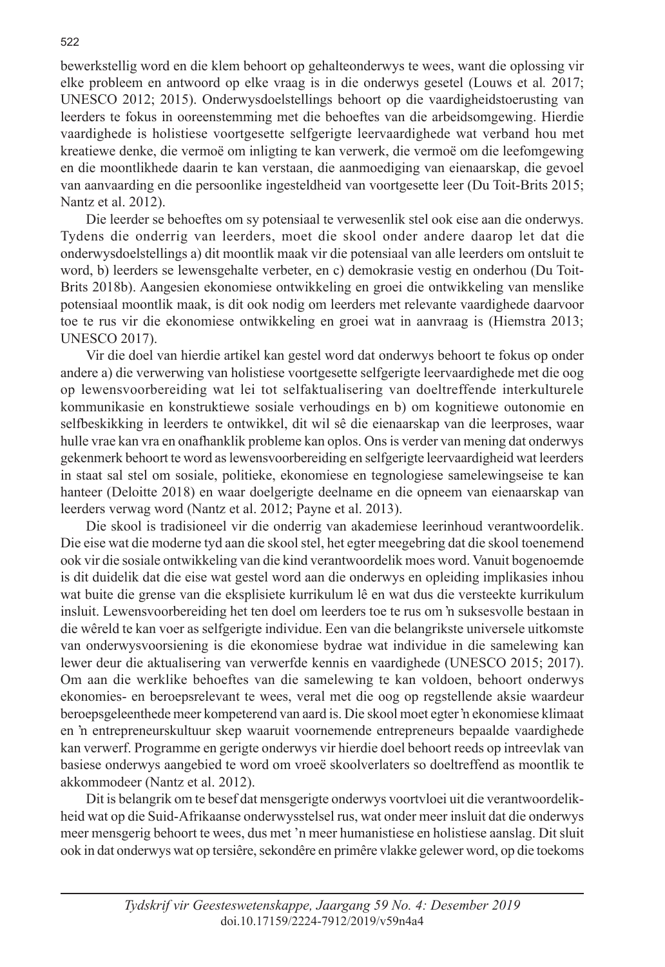bewerkstellig word en die klem behoort op gehalteonderwys te wees, want die oplossing vir elke probleem en antwoord op elke vraag is in die onderwys gesetel (Louws et al*.* 2017; UNESCO 2012; 2015). Onderwysdoelstellings behoort op die vaardigheidstoerusting van leerders te fokus in ooreenstemming met die behoeftes van die arbeidsomgewing. Hierdie vaardighede is holistiese voortgesette selfgerigte leervaardighede wat verband hou met kreatiewe denke, die vermoë om inligting te kan verwerk, die vermoë om die leefomgewing en die moontlikhede daarin te kan verstaan, die aanmoediging van eienaarskap, die gevoel van aanvaarding en die persoonlike ingesteldheid van voortgesette leer (Du Toit-Brits 2015; Nantz et al. 2012).

Die leerder se behoeftes om sy potensiaal te verwesenlik stel ook eise aan die onderwys. Tydens die onderrig van leerders, moet die skool onder andere daarop let dat die onderwysdoelstellings a) dit moontlik maak vir die potensiaal van alle leerders om ontsluit te word, b) leerders se lewensgehalte verbeter, en c) demokrasie vestig en onderhou (Du Toit-Brits 2018b). Aangesien ekonomiese ontwikkeling en groei die ontwikkeling van menslike potensiaal moontlik maak, is dit ook nodig om leerders met relevante vaardighede daarvoor toe te rus vir die ekonomiese ontwikkeling en groei wat in aanvraag is (Hiemstra 2013; UNESCO 2017).

Vir die doel van hierdie artikel kan gestel word dat onderwys behoort te fokus op onder andere a) die verwerwing van holistiese voortgesette selfgerigte leervaardighede met die oog op lewensvoorbereiding wat lei tot selfaktualisering van doeltreffende interkulturele kommunikasie en konstruktiewe sosiale verhoudings en b) om kognitiewe outonomie en selfbeskikking in leerders te ontwikkel, dit wil sê die eienaarskap van die leerproses, waar hulle vrae kan vra en onafhanklik probleme kan oplos. Ons is verder van mening dat onderwys gekenmerk behoort te word as lewensvoorbereiding en selfgerigte leervaardigheid wat leerders in staat sal stel om sosiale, politieke, ekonomiese en tegnologiese samelewingseise te kan hanteer (Deloitte 2018) en waar doelgerigte deelname en die opneem van eienaarskap van leerders verwag word (Nantz et al. 2012; Payne et al. 2013).

Die skool is tradisioneel vir die onderrig van akademiese leerinhoud verantwoordelik. Die eise wat die moderne tyd aan die skool stel, het egter meegebring dat die skool toenemend ook vir die sosiale ontwikkeling van die kind verantwoordelik moes word. Vanuit bogenoemde is dit duidelik dat die eise wat gestel word aan die onderwys en opleiding implikasies inhou wat buite die grense van die eksplisiete kurrikulum lê en wat dus die versteekte kurrikulum insluit. Lewensvoorbereiding het ten doel om leerders toe te rus om 'n suksesvolle bestaan in die wêreld te kan voer as selfgerigte individue. Een van die belangrikste universele uitkomste van onderwysvoorsiening is die ekonomiese bydrae wat individue in die samelewing kan lewer deur die aktualisering van verwerfde kennis en vaardighede (UNESCO 2015; 2017). Om aan die werklike behoeftes van die samelewing te kan voldoen, behoort onderwys ekonomies- en beroepsrelevant te wees, veral met die oog op regstellende aksie waardeur beroepsgeleenthede meer kompeterend van aard is. Die skool moet egter 'n ekonomiese klimaat en 'n entrepreneurskultuur skep waaruit voornemende entrepreneurs bepaalde vaardighede kan verwerf. Programme en gerigte onderwys vir hierdie doel behoort reeds op intreevlak van basiese onderwys aangebied te word om vroeë skoolverlaters so doeltreffend as moontlik te akkommodeer (Nantz et al. 2012).

Dit is belangrik om te besef dat mensgerigte onderwys voortvloei uit die verantwoordelikheid wat op die Suid-Afrikaanse onderwysstelsel rus, wat onder meer insluit dat die onderwys meer mensgerig behoort te wees, dus met 'n meer humanistiese en holistiese aanslag. Dit sluit ook in dat onderwys wat op tersiêre, sekondêre en primêre vlakke gelewer word, op die toekoms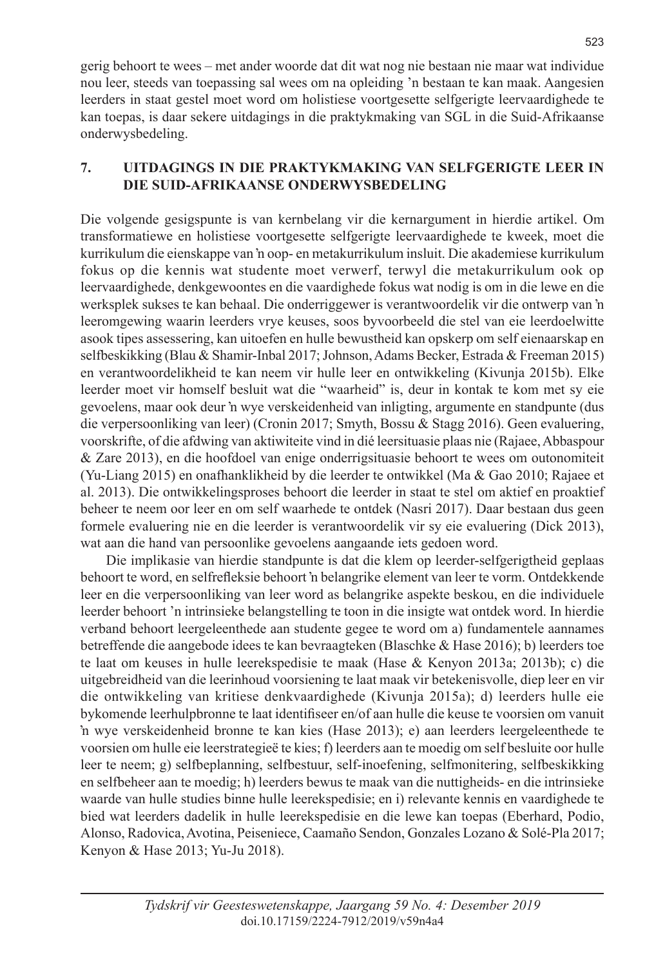gerig behoort te wees – met ander woorde dat dit wat nog nie bestaan nie maar wat individue nou leer, steeds van toepassing sal wees om na opleiding 'n bestaan te kan maak. Aangesien leerders in staat gestel moet word om holistiese voortgesette selfgerigte leervaardighede te kan toepas, is daar sekere uitdagings in die praktykmaking van SGL in die Suid-Afrikaanse onderwysbedeling.

#### **7. UITDAGINGS IN DIE PRAKTYKMAKING VAN SELFGERIGTE LEER IN DIE SUID-AFRIKAANSE ONDERWYSBEDELING**

Die volgende gesigspunte is van kernbelang vir die kernargument in hierdie artikel. Om transformatiewe en holistiese voortgesette selfgerigte leervaardighede te kweek, moet die kurrikulum die eienskappe van 'n oop- en metakurrikulum insluit. Die akademiese kurrikulum fokus op die kennis wat studente moet verwerf, terwyl die metakurrikulum ook op leervaardighede, denkgewoontes en die vaardighede fokus wat nodig is om in die lewe en die werksplek sukses te kan behaal. Die onderriggewer is verantwoordelik vir die ontwerp van 'n leeromgewing waarin leerders vrye keuses, soos byvoorbeeld die stel van eie leerdoelwitte asook tipes assessering, kan uitoefen en hulle bewustheid kan opskerp om self eienaarskap en selfbeskikking (Blau & Shamir-Inbal 2017; Johnson, Adams Becker, Estrada & Freeman 2015) en verantwoordelikheid te kan neem vir hulle leer en ontwikkeling (Kivunja 2015b). Elke leerder moet vir homself besluit wat die "waarheid" is, deur in kontak te kom met sy eie gevoelens, maar ook deur 'n wye verskeidenheid van inligting, argumente en standpunte (dus die verpersoonliking van leer) (Cronin 2017; Smyth, Bossu & Stagg 2016). Geen evaluering, voorskrifte, of die afdwing van aktiwiteite vind in dié leersituasie plaas nie (Rajaee, Abbaspour & Zare 2013), en die hoofdoel van enige onderrigsituasie behoort te wees om outonomiteit (Yu-Liang 2015) en onafhanklikheid by die leerder te ontwikkel (Ma & Gao 2010; Rajaee et al. 2013). Die ontwikkelingsproses behoort die leerder in staat te stel om aktief en proaktief beheer te neem oor leer en om self waarhede te ontdek (Nasri 2017). Daar bestaan dus geen formele evaluering nie en die leerder is verantwoordelik vir sy eie evaluering (Dick 2013), wat aan die hand van persoonlike gevoelens aangaande iets gedoen word.

Die implikasie van hierdie standpunte is dat die klem op leerder-selfgerigtheid geplaas behoort te word, en selfrefleksie behoort 'n belangrike element van leer te vorm. Ontdekkende leer en die verpersoonliking van leer word as belangrike aspekte beskou, en die individuele leerder behoort 'n intrinsieke belangstelling te toon in die insigte wat ontdek word. In hierdie verband behoort leergeleenthede aan studente gegee te word om a) fundamentele aannames betreffende die aangebode idees te kan bevraagteken (Blaschke & Hase 2016); b) leerders toe te laat om keuses in hulle leerekspedisie te maak (Hase & Kenyon 2013a; 2013b); c) die uitgebreidheid van die leerinhoud voorsiening te laat maak vir betekenisvolle, diep leer en vir die ontwikkeling van kritiese denkvaardighede (Kivunja 2015a); d) leerders hulle eie bykomende leerhulpbronne te laat identifiseer en/of aan hulle die keuse te voorsien om vanuit 'n wye verskeidenheid bronne te kan kies (Hase 2013); e) aan leerders leergeleenthede te voorsien om hulle eie leerstrategieë te kies; f) leerders aan te moedig om self besluite oor hulle leer te neem; g) selfbeplanning, selfbestuur, self-inoefening, selfmonitering, selfbeskikking en selfbeheer aan te moedig; h) leerders bewus te maak van die nuttigheids- en die intrinsieke waarde van hulle studies binne hulle leerekspedisie; en i) relevante kennis en vaardighede te bied wat leerders dadelik in hulle leerekspedisie en die lewe kan toepas (Eberhard, Podio, Alonso, Radovica, Avotina, Peiseniece, Caamaño Sendon, Gonzales Lozano & Solé-Pla 2017; Kenyon & Hase 2013; Yu-Ju 2018).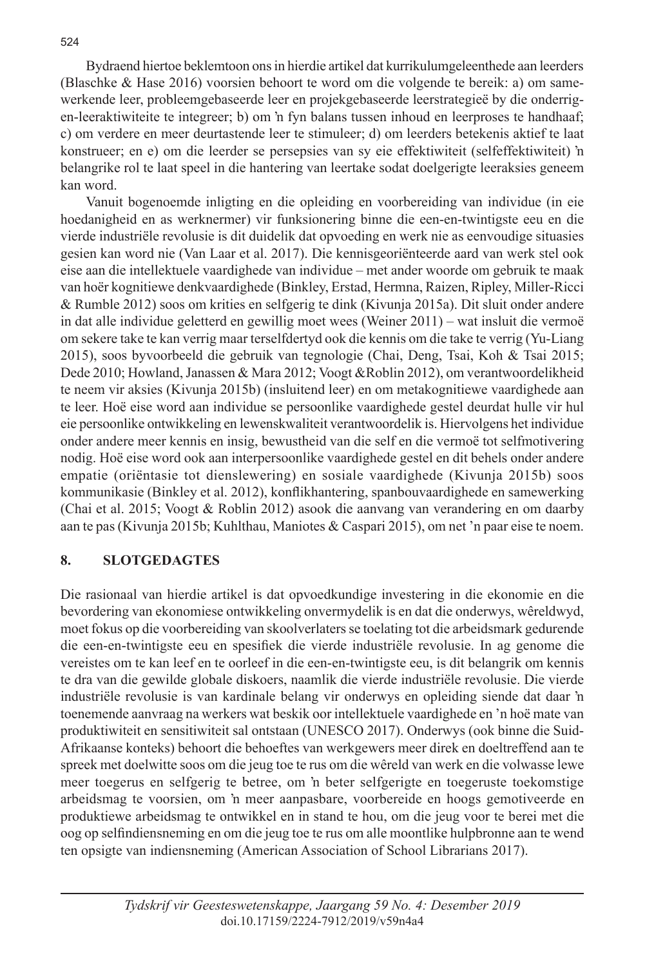Bydraend hiertoe beklemtoon ons in hierdie artikel dat kurrikulumgeleenthede aan leerders (Blaschke & Hase 2016) voorsien behoort te word om die volgende te bereik: a) om samewerkende leer, probleemgebaseerde leer en projekgebaseerde leerstrategieë by die onderrigen-leeraktiwiteite te integreer; b) om 'n fyn balans tussen inhoud en leerproses te handhaaf; c) om verdere en meer deurtastende leer te stimuleer; d) om leerders betekenis aktief te laat konstrueer; en e) om die leerder se persepsies van sy eie effektiwiteit (selfeffektiwiteit) 'n belangrike rol te laat speel in die hantering van leertake sodat doelgerigte leeraksies geneem kan word.

Vanuit bogenoemde inligting en die opleiding en voorbereiding van individue (in eie hoedanigheid en as werknermer) vir funksionering binne die een-en-twintigste eeu en die vierde industriële revolusie is dit duidelik dat opvoeding en werk nie as eenvoudige situasies gesien kan word nie (Van Laar et al. 2017). Die kennisgeoriënteerde aard van werk stel ook eise aan die intellektuele vaardighede van individue – met ander woorde om gebruik te maak van hoër kognitiewe denkvaardighede (Binkley, Erstad, Hermna, Raizen, Ripley, Miller-Ricci & Rumble 2012) soos om krities en selfgerig te dink (Kivunja 2015a). Dit sluit onder andere in dat alle individue geletterd en gewillig moet wees (Weiner 2011) – wat insluit die vermoë om sekere take te kan verrig maar terselfdertyd ook die kennis om die take te verrig (Yu-Liang 2015), soos byvoorbeeld die gebruik van tegnologie (Chai, Deng, Tsai, Koh & Tsai 2015; Dede 2010; Howland, Janassen & Mara 2012; Voogt &Roblin 2012), om verantwoordelikheid te neem vir aksies (Kivunja 2015b) (insluitend leer) en om metakognitiewe vaardighede aan te leer. Hoë eise word aan individue se persoonlike vaardighede gestel deurdat hulle vir hul eie persoonlike ontwikkeling en lewenskwaliteit verantwoordelik is. Hiervolgens het individue onder andere meer kennis en insig, bewustheid van die self en die vermoë tot selfmotivering nodig. Hoë eise word ook aan interpersoonlike vaardighede gestel en dit behels onder andere empatie (oriëntasie tot dienslewering) en sosiale vaardighede (Kivunja 2015b) soos kommunikasie (Binkley et al. 2012), konflikhantering, spanbouvaardighede en samewerking (Chai et al. 2015; Voogt & Roblin 2012) asook die aanvang van verandering en om daarby aan te pas (Kivunja 2015b; Kuhlthau, Maniotes & Caspari 2015), om net 'n paar eise te noem.

## **8. SLOTGEDAGTES**

Die rasionaal van hierdie artikel is dat opvoedkundige investering in die ekonomie en die bevordering van ekonomiese ontwikkeling onvermydelik is en dat die onderwys, wêreldwyd, moet fokus op die voorbereiding van skoolverlaters se toelating tot die arbeidsmark gedurende die een-en-twintigste eeu en spesifiek die vierde industriële revolusie. In ag genome die vereistes om te kan leef en te oorleef in die een-en-twintigste eeu, is dit belangrik om kennis te dra van die gewilde globale diskoers, naamlik die vierde industriële revolusie. Die vierde industriële revolusie is van kardinale belang vir onderwys en opleiding siende dat daar 'n toenemende aanvraag na werkers wat beskik oor intellektuele vaardighede en 'n hoë mate van produktiwiteit en sensitiwiteit sal ontstaan (UNESCO 2017). Onderwys (ook binne die Suid-Afrikaanse konteks) behoort die behoeftes van werkgewers meer direk en doeltreffend aan te spreek met doelwitte soos om die jeug toe te rus om die wêreld van werk en die volwasse lewe meer toegerus en selfgerig te betree, om 'n beter selfgerigte en toegeruste toekomstige arbeidsmag te voorsien, om 'n meer aanpasbare, voorbereide en hoogs gemotiveerde en produktiewe arbeidsmag te ontwikkel en in stand te hou, om die jeug voor te berei met die oog op selfindiensneming en om die jeug toe te rus om alle moontlike hulpbronne aan te wend ten opsigte van indiensneming (American Association of School Librarians 2017).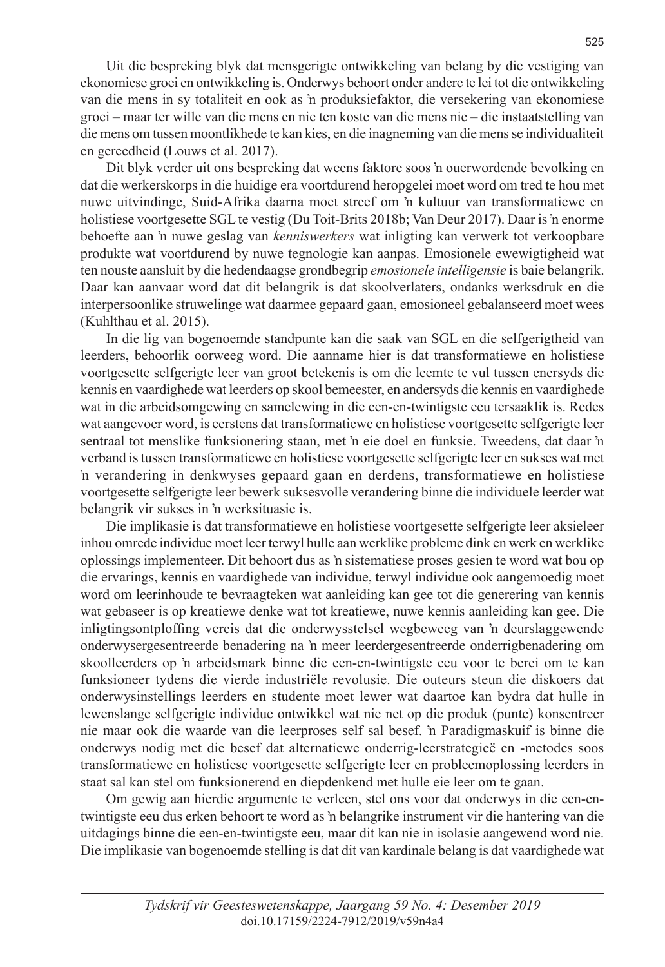Uit die bespreking blyk dat mensgerigte ontwikkeling van belang by die vestiging van ekonomiese groei en ontwikkeling is. Onderwys behoort onder andere te lei tot die ontwikkeling van die mens in sy totaliteit en ook as 'n produksiefaktor, die versekering van ekonomiese groei – maar ter wille van die mens en nie ten koste van die mens nie – die instaatstelling van die mens om tussen moontlikhede te kan kies, en die inagneming van die mens se individualiteit en gereedheid (Louws et al. 2017).

Dit blyk verder uit ons bespreking dat weens faktore soos 'n ouerwordende bevolking en dat die werkerskorps in die huidige era voortdurend heropgelei moet word om tred te hou met nuwe uitvindinge, Suid-Afrika daarna moet streef om 'n kultuur van transformatiewe en holistiese voortgesette SGL te vestig (Du Toit-Brits 2018b; Van Deur 2017). Daar is 'n enorme behoefte aan 'n nuwe geslag van *kenniswerkers* wat inligting kan verwerk tot verkoopbare produkte wat voortdurend by nuwe tegnologie kan aanpas. Emosionele ewewigtigheid wat ten nouste aansluit by die hedendaagse grondbegrip *emosionele intelligensie* is baie belangrik. Daar kan aanvaar word dat dit belangrik is dat skoolverlaters, ondanks werksdruk en die interpersoonlike struwelinge wat daarmee gepaard gaan, emosioneel gebalanseerd moet wees (Kuhlthau et al. 2015).

In die lig van bogenoemde standpunte kan die saak van SGL en die selfgerigtheid van leerders, behoorlik oorweeg word. Die aanname hier is dat transformatiewe en holistiese voortgesette selfgerigte leer van groot betekenis is om die leemte te vul tussen enersyds die kennis en vaardighede wat leerders op skool bemeester, en andersyds die kennis en vaardighede wat in die arbeidsomgewing en samelewing in die een-en-twintigste eeu tersaaklik is. Redes wat aangevoer word, is eerstens dat transformatiewe en holistiese voortgesette selfgerigte leer sentraal tot menslike funksionering staan, met 'n eie doel en funksie. Tweedens, dat daar 'n verband is tussen transformatiewe en holistiese voortgesette selfgerigte leer en sukses wat met 'n verandering in denkwyses gepaard gaan en derdens, transformatiewe en holistiese voortgesette selfgerigte leer bewerk suksesvolle verandering binne die individuele leerder wat belangrik vir sukses in 'n werksituasie is.

Die implikasie is dat transformatiewe en holistiese voortgesette selfgerigte leer aksieleer inhou omrede individue moet leer terwyl hulle aan werklike probleme dink en werk en werklike oplossings implementeer. Dit behoort dus as 'n sistematiese proses gesien te word wat bou op die ervarings, kennis en vaardighede van individue, terwyl individue ook aangemoedig moet word om leerinhoude te bevraagteken wat aanleiding kan gee tot die generering van kennis wat gebaseer is op kreatiewe denke wat tot kreatiewe, nuwe kennis aanleiding kan gee. Die inligtingsontploffing vereis dat die onderwysstelsel wegbeweeg van 'n deurslaggewende onderwysergesentreerde benadering na 'n meer leerdergesentreerde onderrigbenadering om skoolleerders op 'n arbeidsmark binne die een-en-twintigste eeu voor te berei om te kan funksioneer tydens die vierde industriële revolusie. Die outeurs steun die diskoers dat onderwysinstellings leerders en studente moet lewer wat daartoe kan bydra dat hulle in lewenslange selfgerigte individue ontwikkel wat nie net op die produk (punte) konsentreer nie maar ook die waarde van die leerproses self sal besef. 'n Paradigmaskuif is binne die onderwys nodig met die besef dat alternatiewe onderrig-leerstrategieë en -metodes soos transformatiewe en holistiese voortgesette selfgerigte leer en probleemoplossing leerders in staat sal kan stel om funksionerend en diepdenkend met hulle eie leer om te gaan.

Om gewig aan hierdie argumente te verleen, stel ons voor dat onderwys in die een-entwintigste eeu dus erken behoort te word as 'n belangrike instrument vir die hantering van die uitdagings binne die een-en-twintigste eeu, maar dit kan nie in isolasie aangewend word nie. Die implikasie van bogenoemde stelling is dat dit van kardinale belang is dat vaardighede wat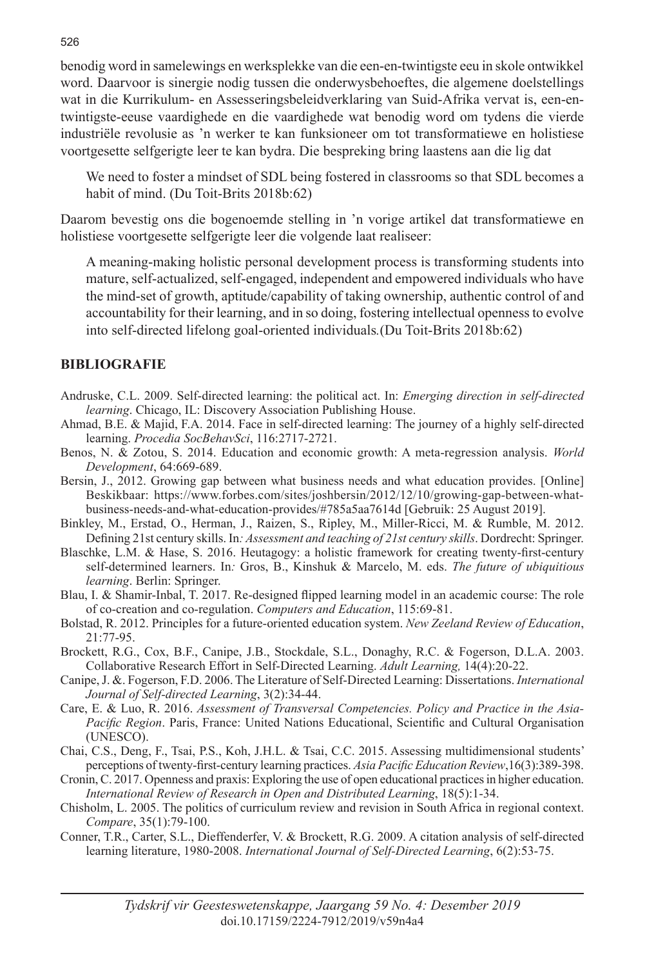benodig word in samelewings en werksplekke van die een-en-twintigste eeu in skole ontwikkel word. Daarvoor is sinergie nodig tussen die onderwysbehoeftes, die algemene doelstellings wat in die Kurrikulum- en Assesseringsbeleidverklaring van Suid-Afrika vervat is, een-entwintigste-eeuse vaardighede en die vaardighede wat benodig word om tydens die vierde industriële revolusie as 'n werker te kan funksioneer om tot transformatiewe en holistiese voortgesette selfgerigte leer te kan bydra. Die bespreking bring laastens aan die lig dat

We need to foster a mindset of SDL being fostered in classrooms so that SDL becomes a habit of mind. (Du Toit-Brits 2018b:62)

Daarom bevestig ons die bogenoemde stelling in 'n vorige artikel dat transformatiewe en holistiese voortgesette selfgerigte leer die volgende laat realiseer:

A meaning-making holistic personal development process is transforming students into mature, self-actualized, self-engaged, independent and empowered individuals who have the mind-set of growth, aptitude/capability of taking ownership, authentic control of and accountability for their learning, and in so doing, fostering intellectual openness to evolve into self-directed lifelong goal-oriented individuals*.*(Du Toit-Brits 2018b:62)

#### **BIBLIOGRAFIE**

- Andruske, C.L. 2009. Self-directed learning: the political act. In: *Emerging direction in self-directed learning*. Chicago, IL: Discovery Association Publishing House.
- Ahmad, B.E. & Majid, F.A. 2014. Face in self-directed learning: The journey of a highly self-directed learning. *Procedia SocBehavSci*, 116:2717-2721.
- Benos, N. & Zotou, S. 2014. Education and economic growth: A meta-regression analysis. *World Development*, 64:669-689.
- Bersin, J., 2012. Growing gap between what business needs and what education provides. [Online] Beskikbaar: https://www.forbes.com/sites/joshbersin/2012/12/10/growing-gap-between-whatbusiness-needs-and-what-education-provides/#785a5aa7614d [Gebruik: 25 August 2019].
- Binkley, M., Erstad, O., Herman, J., Raizen, S., Ripley, M., Miller-Ricci, M. & Rumble, M. 2012. Defining 21st century skills. In*: Assessment and teaching of 21st century skills*. Dordrecht: Springer.
- Blaschke, L.M. & Hase, S. 2016. Heutagogy: a holistic framework for creating twenty-first-century self-determined learners. In*:* Gros, B., Kinshuk & Marcelo, M. eds. *The future of ubiquitious learning*. Berlin: Springer.
- Blau, I. & Shamir-Inbal, T. 2017. Re-designed flipped learning model in an academic course: The role of co-creation and co-regulation. *Computers and Education*, 115:69-81.
- Bolstad, R. 2012. Principles for a future-oriented education system. *New Zeeland Review of Education*, 21:77-95.
- Brockett, R.G., Cox, B.F., Canipe, J.B., Stockdale, S.L., Donaghy, R.C. & Fogerson, D.L.A. 2003. Collaborative Research Effort in Self-Directed Learning. *Adult Learning,* 14(4):20-22.
- Canipe, J. &. Fogerson, F.D. 2006. The Literature of Self-Directed Learning: Dissertations. *International Journal of Self-directed Learning*, 3(2):34-44.
- Care, E. & Luo, R. 2016. *Assessment of Transversal Competencies. Policy and Practice in the Asia-Pacific Region*. Paris, France: United Nations Educational, Scientific and Cultural Organisation (UNESCO).
- Chai, C.S., Deng, F., Tsai, P.S., Koh, J.H.L. & Tsai, C.C. 2015. Assessing multidimensional students' perceptions of twenty-first-century learning practices. *Asia Pacific Education Review*,16(3):389-398.
- Cronin, C. 2017. Openness and praxis: Exploring the use of open educational practices in higher education. *International Review of Research in Open and Distributed Learning*, 18(5):1-34.
- Chisholm, L. 2005. The politics of curriculum review and revision in South Africa in regional context. *Compare*, 35(1):79-100.
- Conner, T.R., Carter, S.L., Dieffenderfer, V. & Brockett, R.G. 2009. A citation analysis of self-directed learning literature, 1980-2008. *International Journal of Self-Directed Learning*, 6(2):53-75.

526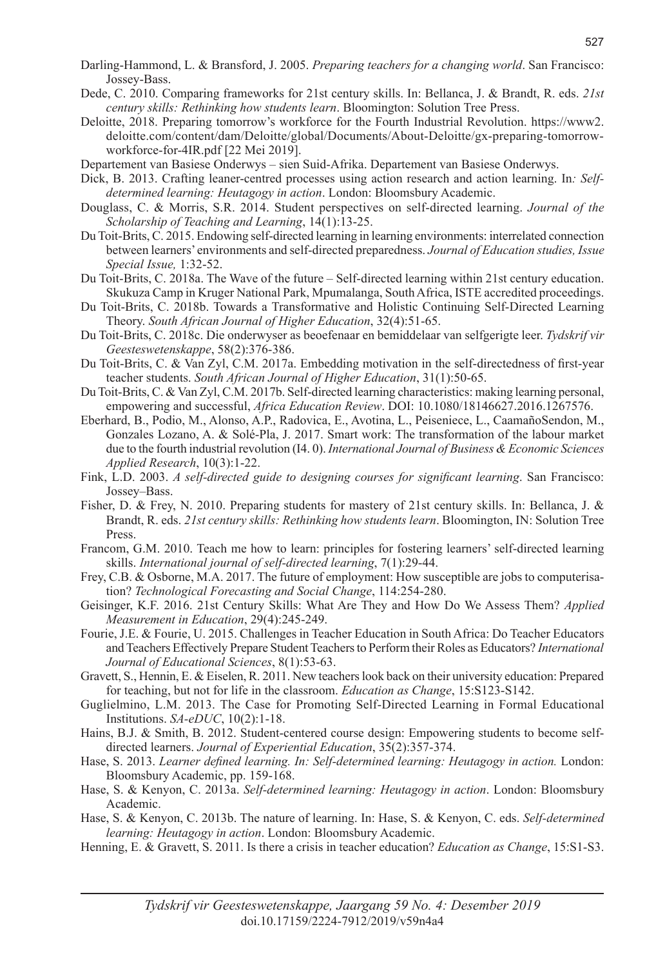- Darling-Hammond, L. & Bransford, J. 2005. *Preparing teachers for a changing world*. San Francisco: Jossey-Bass.
- Dede, C. 2010. Comparing frameworks for 21st century skills. In: Bellanca, J. & Brandt, R. eds. *21st century skills: Rethinking how students learn*. Bloomington: Solution Tree Press.
- Deloitte, 2018. Preparing tomorrow's workforce for the Fourth Industrial Revolution. https://www2. deloitte.com/content/dam/Deloitte/global/Documents/About-Deloitte/gx-preparing-tomorrowworkforce-for-4IR.pdf [22 Mei 2019].
- Departement van Basiese Onderwys sien Suid-Afrika. Departement van Basiese Onderwys.
- Dick, B. 2013. Crafting leaner-centred processes using action research and action learning. In*: Selfdetermined learning: Heutagogy in action*. London: Bloomsbury Academic.
- Douglass, C. & Morris, S.R. 2014. Student perspectives on self-directed learning. *Journal of the Scholarship of Teaching and Learning*, 14(1):13-25.
- Du Toit-Brits, C. 2015. Endowing self-directed learning in learning environments: interrelated connection between learners' environments and self-directed preparedness. *Journal of Education studies, Issue Special Issue,* 1:32-52.
- Du Toit-Brits, C. 2018a. The Wave of the future Self-directed learning within 21st century education. Skukuza Camp in Kruger National Park, Mpumalanga, South Africa, ISTE accredited proceedings.
- Du Toit-Brits, C. 2018b. Towards a Transformative and Holistic Continuing Self-Directed Learning Theory. *South African Journal of Higher Education*, 32(4):51-65.
- Du Toit-Brits, C. 2018c. Die onderwyser as beoefenaar en bemiddelaar van selfgerigte leer. *Tydskrif vir Geesteswetenskappe*, 58(2):376-386.
- Du Toit-Brits, C. & Van Zyl, C.M. 2017a. Embedding motivation in the self-directedness of first-year teacher students. *South African Journal of Higher Education*, 31(1):50-65.
- Du Toit-Brits, C. & Van Zyl, C.M. 2017b. Self-directed learning characteristics: making learning personal, empowering and successful, *Africa Education Review*. DOI: 10.1080/18146627.2016.1267576.
- Eberhard, B., Podio, M., Alonso, A.P., Radovica, E., Avotina, L., Peiseniece, L., CaamañoSendon, M., Gonzales Lozano, A. & Solé-Pla, J. 2017. Smart work: The transformation of the labour market due to the fourth industrial revolution (I4. 0). *International Journal of Business & Economic Sciences Applied Research*, 10(3):1-22.
- Fink, L.D. 2003. *A self-directed guide to designing courses for significant learning*. San Francisco: Jossey–Bass.
- Fisher, D. & Frey, N. 2010. Preparing students for mastery of 21st century skills. In: Bellanca, J. & Brandt, R. eds. *21st century skills: Rethinking how students learn*. Bloomington, IN: Solution Tree Press.
- Francom, G.M. 2010. Teach me how to learn: principles for fostering learners' self-directed learning skills. *International journal of self-directed learning*, 7(1):29-44.
- Frey, C.B. & Osborne, M.A. 2017. The future of employment: How susceptible are jobs to computerisation? *Technological Forecasting and Social Change*, 114:254-280.
- Geisinger, K.F. 2016. 21st Century Skills: What Are They and How Do We Assess Them? *Applied Measurement in Education*, 29(4):245-249.
- Fourie, J.E. & Fourie, U. 2015. Challenges in Teacher Education in South Africa: Do Teacher Educators and Teachers Effectively Prepare Student Teachers to Perform their Roles as Educators? *International Journal of Educational Sciences*, 8(1):53-63.
- Gravett, S., Hennin, E. & Eiselen, R. 2011. New teachers look back on their university education: Prepared for teaching, but not for life in the classroom. *Education as Change*, 15:S123-S142.
- Guglielmino, L.M. 2013. The Case for Promoting Self-Directed Learning in Formal Educational Institutions. *SA-eDUC*, 10(2):1-18.
- Hains, B.J. & Smith, B. 2012. Student-centered course design: Empowering students to become selfdirected learners. *Journal of Experiential Education*, 35(2):357-374.
- Hase, S. 2013. *Learner defined learning. In: Self-determined learning: Heutagogy in action.* London: Bloomsbury Academic, pp. 159-168.
- Hase, S. & Kenyon, C. 2013a. *Self-determined learning: Heutagogy in action*. London: Bloomsbury Academic.
- Hase, S. & Kenyon, C. 2013b. The nature of learning. In: Hase, S. & Kenyon, C. eds. *Self-determined learning: Heutagogy in action*. London: Bloomsbury Academic.
- Henning, E. & Gravett, S. 2011. Is there a crisis in teacher education? *Education as Change*, 15:S1-S3.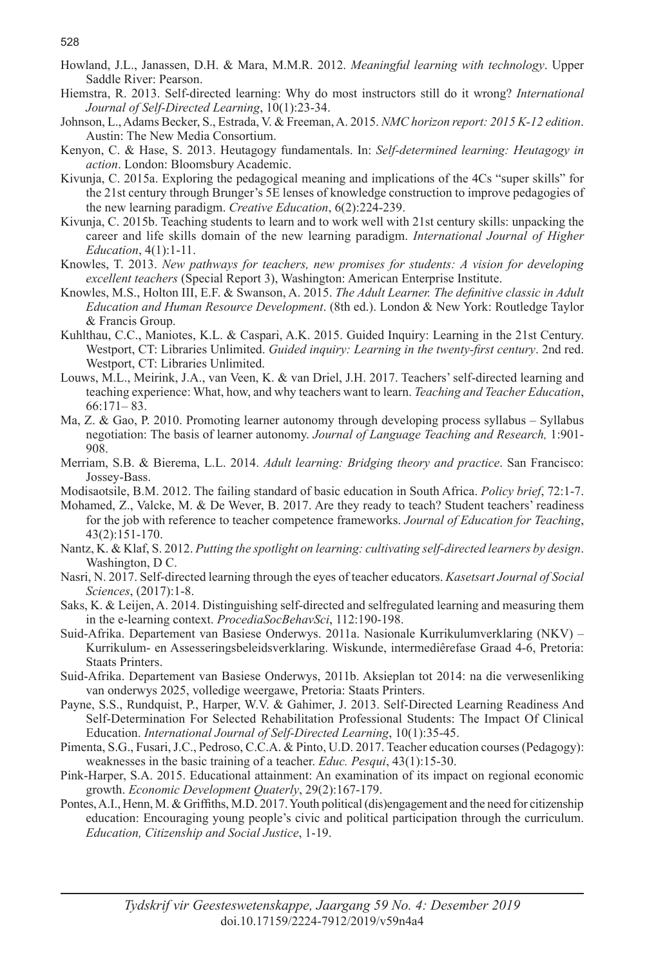- Howland, J.L., Janassen, D.H. & Mara, M.M.R. 2012. *Meaningful learning with technology*. Upper Saddle River: Pearson.
- Hiemstra, R. 2013. Self-directed learning: Why do most instructors still do it wrong? *International Journal of Self-Directed Learning*, 10(1):23-34.
- Johnson, L., Adams Becker, S., Estrada, V. & Freeman, A. 2015. *NMC horizon report: 2015 K-12 edition*. Austin: The New Media Consortium.
- Kenyon, C. & Hase, S. 2013. Heutagogy fundamentals. In: *Self-determined learning: Heutagogy in action*. London: Bloomsbury Academic.
- Kivunja, C. 2015a. Exploring the pedagogical meaning and implications of the 4Cs "super skills" for the 21st century through Brunger's 5E lenses of knowledge construction to improve pedagogies of the new learning paradigm. *Creative Education*, 6(2):224-239.
- Kivunja, C. 2015b. Teaching students to learn and to work well with 21st century skills: unpacking the career and life skills domain of the new learning paradigm. *International Journal of Higher Education*, 4(1):1-11.
- Knowles, T. 2013. *New pathways for teachers, new promises for students: A vision for developing excellent teachers* (Special Report 3), Washington: American Enterprise Institute.
- Knowles, M.S., Holton III, E.F. & Swanson, A. 2015. *The Adult Learner. The definitive classic in Adult Education and Human Resource Development*. (8th ed.). London & New York: Routledge Taylor & Francis Group.
- Kuhlthau, C.C., Maniotes, K.L. & Caspari, A.K. 2015. Guided Inquiry: Learning in the 21st Century. Westport, CT: Libraries Unlimited. *Guided inquiry: Learning in the twenty-first century*. 2nd red. Westport, CT: Libraries Unlimited.
- Louws, M.L., Meirink, J.A., van Veen, K. & van Driel, J.H. 2017. Teachers' self-directed learning and teaching experience: What, how, and why teachers want to learn. *Teaching and Teacher Education*, 66:171– 83.
- Ma, Z. & Gao, P. 2010. Promoting learner autonomy through developing process syllabus Syllabus negotiation: The basis of learner autonomy. *Journal of Language Teaching and Research,* 1:901- 908.
- Merriam, S.B. & Bierema, L.L. 2014. *Adult learning: Bridging theory and practice*. San Francisco: Jossey-Bass.
- Modisaotsile, B.M. 2012. The failing standard of basic education in South Africa. *Policy brief*, 72:1-7.
- Mohamed, Z., Valcke, M. & De Wever, B. 2017. Are they ready to teach? Student teachers' readiness for the job with reference to teacher competence frameworks. *Journal of Education for Teaching*, 43(2):151-170.
- Nantz, K. & Klaf, S. 2012. *Putting the spotlight on learning: cultivating self-directed learners by design*. Washington, D C.
- Nasri, N. 2017. Self-directed learning through the eyes of teacher educators. *Kasetsart Journal of Social Sciences*, (2017):1-8.
- Saks, K. & Leijen, A. 2014. Distinguishing self-directed and selfregulated learning and measuring them in the e-learning context. *ProcediaSocBehavSci*, 112:190-198.
- Suid-Afrika. Departement van Basiese Onderwys. 2011a. Nasionale Kurrikulumverklaring (NKV) Kurrikulum- en Assesseringsbeleidsverklaring. Wiskunde, intermediêrefase Graad 4-6, Pretoria: Staats Printers.
- Suid-Afrika. Departement van Basiese Onderwys, 2011b. Aksieplan tot 2014: na die verwesenliking van onderwys 2025, volledige weergawe, Pretoria: Staats Printers.
- Payne, S.S., Rundquist, P., Harper, W.V. & Gahimer, J. 2013. Self-Directed Learning Readiness And Self-Determination For Selected Rehabilitation Professional Students: The Impact Of Clinical Education. *International Journal of Self-Directed Learning*, 10(1):35-45.
- Pimenta, S.G., Fusari, J.C., Pedroso, C.C.A. & Pinto, U.D. 2017. Teacher education courses (Pedagogy): weaknesses in the basic training of a teacher. *Educ. Pesqui*, 43(1):15-30.
- Pink-Harper, S.A. 2015. Educational attainment: An examination of its impact on regional economic growth. *Economic Development Quaterly*, 29(2):167-179.
- Pontes, A.I., Henn, M. & Griffiths, M.D. 2017. Youth political (dis)engagement and the need for citizenship education: Encouraging young people's civic and political participation through the curriculum. *Education, Citizenship and Social Justice*, 1-19.